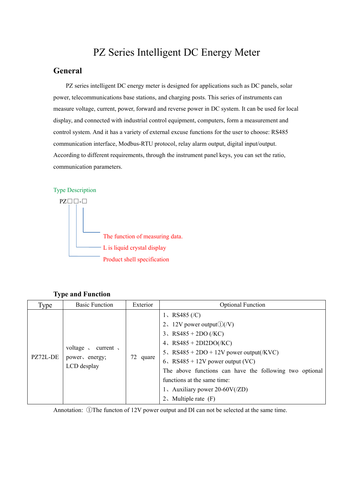# PZ Series Intelligent DC Energy Meter

## **General**

PZ series intelligent DC energy meter is designed for applications such as DC panels, solar power, telecommunications base stations, and charging posts. This series of instruments can measure voltage, current, power, forward and reverse power in DC system. It can be used for local display, and connected with industrial control equipment, computers, form a measurement and control system. And it has a variety of external excuse functions for the user to choose: RS485 communication interface, Modbus-RTU protocol, relay alarm output, digital input/output. According to different requirements, through the instrument panel keys, you can set the ratio, communication parameters.

#### Type Description



**Type and Function**

| Type     | <b>Basic Function</b>                                                     | Exterior | <b>Optional Function</b>                                                                                                                                                                                                                                                                                                                            |
|----------|---------------------------------------------------------------------------|----------|-----------------------------------------------------------------------------------------------------------------------------------------------------------------------------------------------------------------------------------------------------------------------------------------------------------------------------------------------------|
| PZ72L-DE | voltage $\sqrt{ }$<br>current $\sqrt{ }$<br>power, energy;<br>LCD desplay | 72 quare | 1, RS485 $(C)$<br>2, 12V power output $\mathcal{D}(V)$<br>3、RS485 + 2DO (/KC)<br>4, $RS485 + 2DI2DO(KC)$<br>5. $RS485 + 2DO + 12V$ power output(/KVC)<br>6, $RS485 + 12V$ power output (VC)<br>The above functions can have the following two optional<br>functions at the same time:<br>1. Auxiliary power $20-60V/(ZD)$<br>2. Multiple rate $(F)$ |

Annotation: ①The functon of 12V power output and DI can not be selected at the same time.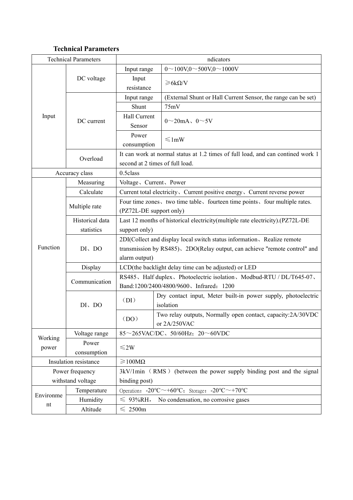# **Technical Parameters**

|           | <b>Technical Parameters</b>   |                                                                                                | ndicators                                                                                                                                             |  |  |
|-----------|-------------------------------|------------------------------------------------------------------------------------------------|-------------------------------------------------------------------------------------------------------------------------------------------------------|--|--|
|           |                               | Input range                                                                                    | $0 \sim 100V, 0 \sim 500V, 0 \sim 1000V$                                                                                                              |  |  |
|           | DC voltage                    | Input<br>resistance                                                                            | $\geq 6k\Omega/V$                                                                                                                                     |  |  |
|           |                               | Input range                                                                                    | (External Shunt or Hall Current Sensor, the range can be set)                                                                                         |  |  |
|           |                               | Shunt                                                                                          | 75mV                                                                                                                                                  |  |  |
| Input     | DC current                    | Hall Current<br>Sensor                                                                         | $0 \sim 20$ mA, $0 \sim 5V$                                                                                                                           |  |  |
|           |                               | Power<br>consumption                                                                           | $\leq$ 1mW                                                                                                                                            |  |  |
|           | Overload                      | second at 2 times of full load.                                                                | It can work at normal status at 1.2 times of full load, and can contined work 1                                                                       |  |  |
|           | Accuracy class                | 0.5class                                                                                       |                                                                                                                                                       |  |  |
|           | Measuring                     | Voltage, Current, Power                                                                        |                                                                                                                                                       |  |  |
|           | Calculate                     |                                                                                                | Current total electricity, Current positive energy, Current reverse power                                                                             |  |  |
|           | Multiple rate                 | (PZ72L-DE support only)                                                                        | Four time zones, two time table, fourteen time points, four multiple rates.                                                                           |  |  |
|           | Historical data<br>statistics | Last 12 months of historical electricity(multiple rate electricity).(PZ72L-DE<br>support only) |                                                                                                                                                       |  |  |
| Function  | $DI$ , $DO$                   | alarm output)                                                                                  | 2DI(Collect and display local switch status information, Realize remote<br>transmission by RS485), 2DO(Relay output, can achieve "remote control" and |  |  |
|           | Display                       |                                                                                                | LCD(the backlight delay time can be adjusted) or LED                                                                                                  |  |  |
|           | Communication                 |                                                                                                | RS485, Half duplex, Photoelectric isolation, Modbud-RTU / DL/T645-07,<br>Band:1200/2400/4800/9600、Infrared: 1200                                      |  |  |
|           | $DI$ , $DO$                   | (DI)                                                                                           | Dry contact input, Meter built-in power supply, photoelectric<br>isolation                                                                            |  |  |
|           |                               | (DO)                                                                                           | Two relay outputs, Normally open contact, capacity:2A/30VDC<br>or 2A/250VAC                                                                           |  |  |
| Working   | Voltage range                 | 85 $\sim$ 265VAC/DC, 50/60Hz; 20 $\sim$ 60VDC                                                  |                                                                                                                                                       |  |  |
| power     | Power<br>consumption          | $≤2W$                                                                                          |                                                                                                                                                       |  |  |
|           | Insulation resistance         | $\geq 100M\Omega$                                                                              |                                                                                                                                                       |  |  |
|           | Power frequency               |                                                                                                | 3kV/1min (RMS) (between the power supply binding post and the signal                                                                                  |  |  |
|           | withstand voltage             | binding post)                                                                                  |                                                                                                                                                       |  |  |
|           | Temperature                   |                                                                                                | Operation: $-20^{\circ}\text{C} \sim +60^{\circ}\text{C}$ ; Storage: $-20^{\circ}\text{C} \sim +70^{\circ}\text{C}$                                   |  |  |
| Environme | Humidity                      | $\leqslant$ 93%RH,                                                                             | No condensation, no corrosive gases                                                                                                                   |  |  |
| nt        | Altitude                      | $\leqslant$ 2500m                                                                              |                                                                                                                                                       |  |  |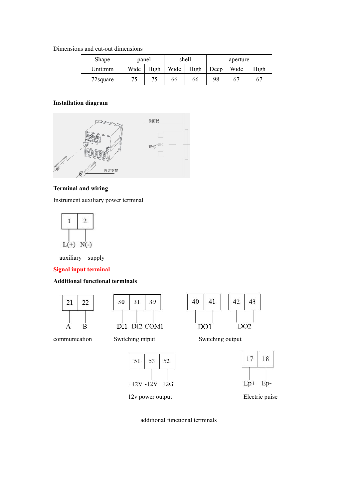#### Dimensions and cut-out dimensions

| Shape     | panel |      |      | shell |      | aperture |      |
|-----------|-------|------|------|-------|------|----------|------|
| Unit:mm   | Wide  | High | Wide | High  | Deep | Wide     | High |
| 72 square |       |      | 66   | 66    | 98   | b,       |      |

#### **Installation diagram**



#### **Terminal and wiring**

Instrument auxiliary power terminal



auxiliary supply

#### **Signal input terminal**

#### **Additional functional terminals**



39 30 31 DI1 DI2 COM1



communication Switching intput Switching output





12v power output Electric puise